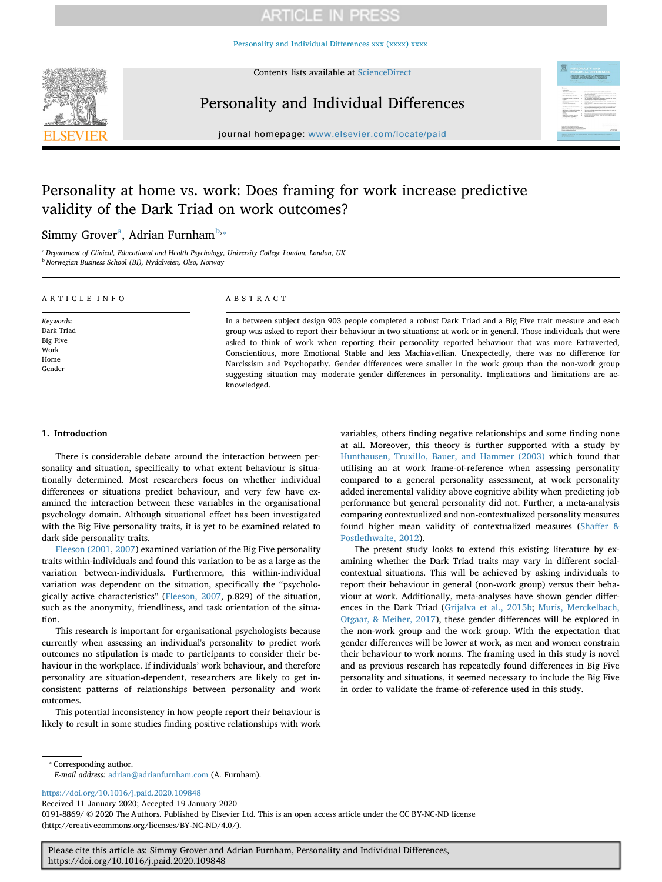# **ARTICLE IN PRESS**

[Personality and Individual Differences xxx \(xxxx\) xxxx](https://doi.org/10.1016/j.paid.2020.109848)



Contents lists available at [ScienceDirect](http://www.sciencedirect.com/science/journal/01918869)

# Personality and Individual Differences



journal homepage: [www.elsevier.com/locate/paid](https://www.elsevier.com/locate/paid)

# Personality at home vs. work: Does framing for work increase predictive validity of the Dark Triad on work outcomes?

## Simmy Grover<sup>[a](#page-0-0)</sup>, Adrian Furnham<sup>[b,](#page-0-1)</sup>\*

<span id="page-0-1"></span><span id="page-0-0"></span><sup>a</sup> *Department of Clinical, Educational and Health Psychology, University College London, London, UK* <sup>b</sup> *Norwegian Business School (BI), Nydalveien, Olso, Norway*

| ARTICLE INFO                                                  | ABSTRACT                                                                                                                                                                                                                                                                                                                                                                                                                                                                                                                                                                                                                                                                              |
|---------------------------------------------------------------|---------------------------------------------------------------------------------------------------------------------------------------------------------------------------------------------------------------------------------------------------------------------------------------------------------------------------------------------------------------------------------------------------------------------------------------------------------------------------------------------------------------------------------------------------------------------------------------------------------------------------------------------------------------------------------------|
| Keywords:<br>Dark Triad<br>Big Five<br>Work<br>Home<br>Gender | In a between subject design 903 people completed a robust Dark Triad and a Big Five trait measure and each<br>group was asked to report their behaviour in two situations: at work or in general. Those individuals that were<br>asked to think of work when reporting their personality reported behaviour that was more Extraverted,<br>Conscientious, more Emotional Stable and less Machiavellian. Unexpectedly, there was no difference for<br>Narcissism and Psychopathy. Gender differences were smaller in the work group than the non-work group<br>suggesting situation may moderate gender differences in personality. Implications and limitations are ac-<br>knowledged. |

### **1. Introduction**

There is considerable debate around the interaction between personality and situation, specifically to what extent behaviour is situationally determined. Most researchers focus on whether individual differences or situations predict behaviour, and very few have examined the interaction between these variables in the organisational psychology domain. Although situational effect has been investigated with the Big Five personality traits, it is yet to be examined related to dark side personality traits.

[Fleeson \(2001,](#page-5-0) [2007\)](#page-5-1) examined variation of the Big Five personality traits within-individuals and found this variation to be as a large as the variation between-individuals. Furthermore, this within-individual variation was dependent on the situation, specifically the "psychologically active characteristics" ([Fleeson, 2007,](#page-5-1) p.829) of the situation, such as the anonymity, friendliness, and task orientation of the situation.

This research is important for organisational psychologists because currently when assessing an individual's personality to predict work outcomes no stipulation is made to participants to consider their behaviour in the workplace. If individuals' work behaviour, and therefore personality are situation-dependent, researchers are likely to get inconsistent patterns of relationships between personality and work outcomes.

This potential inconsistency in how people report their behaviour is likely to result in some studies finding positive relationships with work variables, others finding negative relationships and some finding none at all. Moreover, this theory is further supported with a study by [Hunthausen, Truxillo, Bauer, and Hammer \(2003\)](#page-5-2) which found that utilising an at work frame-of-reference when assessing personality compared to a general personality assessment, at work personality added incremental validity above cognitive ability when predicting job performance but general personality did not. Further, a meta-analysis comparing contextualized and non-contextualized personality measures found higher mean validity of contextualized measures [\(Shaffer &](#page-5-3) [Postlethwaite, 2012](#page-5-3)).

The present study looks to extend this existing literature by examining whether the Dark Triad traits may vary in different socialcontextual situations. This will be achieved by asking individuals to report their behaviour in general (non-work group) versus their behaviour at work. Additionally, meta-analyses have shown gender differences in the Dark Triad [\(Grijalva et al., 2015b;](#page-5-4) [Muris, Merckelbach,](#page-5-5) [Otgaar, & Meiher, 2017](#page-5-5)), these gender differences will be explored in the non-work group and the work group. With the expectation that gender differences will be lower at work, as men and women constrain their behaviour to work norms. The framing used in this study is novel and as previous research has repeatedly found differences in Big Five personality and situations, it seemed necessary to include the Big Five in order to validate the frame-of-reference used in this study.

<span id="page-0-2"></span>⁎ Corresponding author.

*E-mail address:* [adrian@adrianfurnham.com](mailto:adrian@adrianfurnham.com) (A. Furnham).

<https://doi.org/10.1016/j.paid.2020.109848>

Received 11 January 2020; Accepted 19 January 2020

0191-8869/ © 2020 The Authors. Published by Elsevier Ltd. This is an open access article under the CC BY-NC-ND license (http://creativecommons.org/licenses/BY-NC-ND/4.0/).

Please cite this article as: Simmy Grover and Adrian Furnham, Personality and Individual Differences, https://doi.org/10.1016/j.paid.2020.109848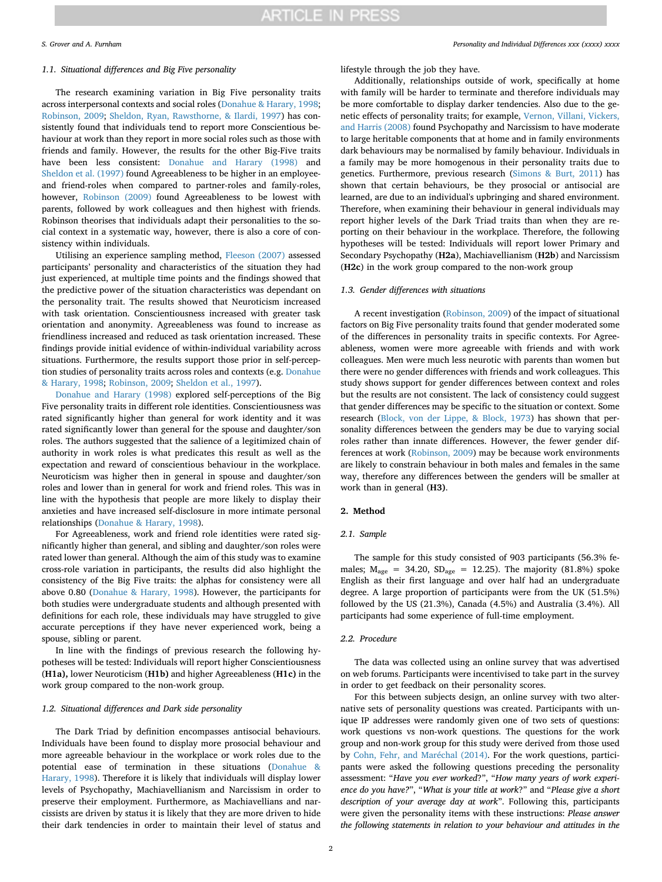#### *1.1. Situational differences and Big Five personality*

The research examining variation in Big Five personality traits across interpersonal contexts and social roles [\(Donahue & Harary, 1998](#page-5-6); [Robinson, 2009;](#page-5-7) [Sheldon, Ryan, Rawsthorne, & Ilardi, 1997\)](#page-5-8) has consistently found that individuals tend to report more Conscientious behaviour at work than they report in more social roles such as those with friends and family. However, the results for the other Big-Five traits have been less consistent: [Donahue and Harary \(1998\)](#page-5-6) and [Sheldon et al. \(1997\)](#page-5-8) found Agreeableness to be higher in an employeeand friend-roles when compared to partner-roles and family-roles, however, [Robinson \(2009\)](#page-5-7) found Agreeableness to be lowest with parents, followed by work colleagues and then highest with friends. Robinson theorises that individuals adapt their personalities to the social context in a systematic way, however, there is also a core of consistency within individuals.

Utilising an experience sampling method, [Fleeson \(2007\)](#page-5-1) assessed participants' personality and characteristics of the situation they had just experienced, at multiple time points and the findings showed that the predictive power of the situation characteristics was dependant on the personality trait. The results showed that Neuroticism increased with task orientation. Conscientiousness increased with greater task orientation and anonymity. Agreeableness was found to increase as friendliness increased and reduced as task orientation increased. These findings provide initial evidence of within-individual variability across situations. Furthermore, the results support those prior in self-perception studies of personality traits across roles and contexts (e.g. [Donahue](#page-5-6) [& Harary, 1998](#page-5-6); [Robinson, 2009;](#page-5-7) [Sheldon et al., 1997](#page-5-8)).

[Donahue and Harary \(1998\)](#page-5-6) explored self-perceptions of the Big Five personality traits in different role identities. Conscientiousness was rated significantly higher than general for work identity and it was rated significantly lower than general for the spouse and daughter/son roles. The authors suggested that the salience of a legitimized chain of authority in work roles is what predicates this result as well as the expectation and reward of conscientious behaviour in the workplace. Neuroticism was higher then in general in spouse and daughter/son roles and lower than in general for work and friend roles. This was in line with the hypothesis that people are more likely to display their anxieties and have increased self-disclosure in more intimate personal relationships [\(Donahue & Harary, 1998](#page-5-6)).

For Agreeableness, work and friend role identities were rated significantly higher than general, and sibling and daughter/son roles were rated lower than general. Although the aim of this study was to examine cross-role variation in participants, the results did also highlight the consistency of the Big Five traits: the alphas for consistency were all above 0.80 [\(Donahue & Harary, 1998](#page-5-6)). However, the participants for both studies were undergraduate students and although presented with definitions for each role, these individuals may have struggled to give accurate perceptions if they have never experienced work, being a spouse, sibling or parent.

In line with the findings of previous research the following hypotheses will be tested: Individuals will report higher Conscientiousness (**H1a),** lower Neuroticism (**H1b)** and higher Agreeableness (**H1c)** in the work group compared to the non-work group.

### *1.2. Situational differences and Dark side personality*

The Dark Triad by definition encompasses antisocial behaviours. Individuals have been found to display more prosocial behaviour and more agreeable behaviour in the workplace or work roles due to the potential ease of termination in these situations ([Donahue &](#page-5-6) [Harary, 1998\)](#page-5-6). Therefore it is likely that individuals will display lower levels of Psychopathy, Machiavellianism and Narcissism in order to preserve their employment. Furthermore, as Machiavellians and narcissists are driven by status it is likely that they are more driven to hide their dark tendencies in order to maintain their level of status and

#### *S. Grover and A. Furnham Personality and Individual Differences xxx (xxxx) xxxx*

lifestyle through the job they have.

Additionally, relationships outside of work, specifically at home with family will be harder to terminate and therefore individuals may be more comfortable to display darker tendencies. Also due to the genetic effects of personality traits; for example, [Vernon, Villani, Vickers,](#page-5-9) [and Harris \(2008\)](#page-5-9) found Psychopathy and Narcissism to have moderate to large heritable components that at home and in family environments dark behaviours may be normalised by family behaviour. Individuals in a family may be more homogenous in their personality traits due to genetics. Furthermore, previous research ([Simons & Burt, 2011](#page-5-10)) has shown that certain behaviours, be they prosocial or antisocial are learned, are due to an individual's upbringing and shared environment. Therefore, when examining their behaviour in general individuals may report higher levels of the Dark Triad traits than when they are reporting on their behaviour in the workplace. Therefore, the following hypotheses will be tested: Individuals will report lower Primary and Secondary Psychopathy (**H2a**), Machiavellianism (**H2b**) and Narcissism (**H2c**) in the work group compared to the non-work group

#### *1.3. Gender differences with situations*

A recent investigation ([Robinson, 2009\)](#page-5-7) of the impact of situational factors on Big Five personality traits found that gender moderated some of the differences in personality traits in specific contexts. For Agreeableness, women were more agreeable with friends and with work colleagues. Men were much less neurotic with parents than women but there were no gender differences with friends and work colleagues. This study shows support for gender differences between context and roles but the results are not consistent. The lack of consistency could suggest that gender differences may be specific to the situation or context. Some research ([Block, von der Lippe, & Block, 1973\)](#page-5-11) has shown that personality differences between the genders may be due to varying social roles rather than innate differences. However, the fewer gender differences at work [\(Robinson, 2009\)](#page-5-7) may be because work environments are likely to constrain behaviour in both males and females in the same way, therefore any differences between the genders will be smaller at work than in general (**H3)**.

#### **2. Method**

#### *2.1. Sample*

The sample for this study consisted of 903 participants (56.3% females;  $M_{\text{age}} = 34.20$ ,  $SD_{\text{age}} = 12.25$ ). The majority (81.8%) spoke English as their first language and over half had an undergraduate degree. A large proportion of participants were from the UK (51.5%) followed by the US (21.3%), Canada (4.5%) and Australia (3.4%). All participants had some experience of full-time employment.

#### *2.2. Procedure*

The data was collected using an online survey that was advertised on web forums. Participants were incentivised to take part in the survey in order to get feedback on their personality scores.

For this between subjects design, an online survey with two alternative sets of personality questions was created. Participants with unique IP addresses were randomly given one of two sets of questions: work questions vs non-work questions. The questions for the work group and non-work group for this study were derived from those used by [Cohn, Fehr, and Maréchal \(2014\).](#page-5-12) For the work questions, participants were asked the following questions preceding the personality assessment: "*Have you ever worked*?", "*How many years of work experience do you have?*", "*What is your title at work*?" and "*Please give a short description of your average day at work*". Following this, participants were given the personality items with these instructions: *Please answer the following statements in relation to your behaviour and attitudes in the*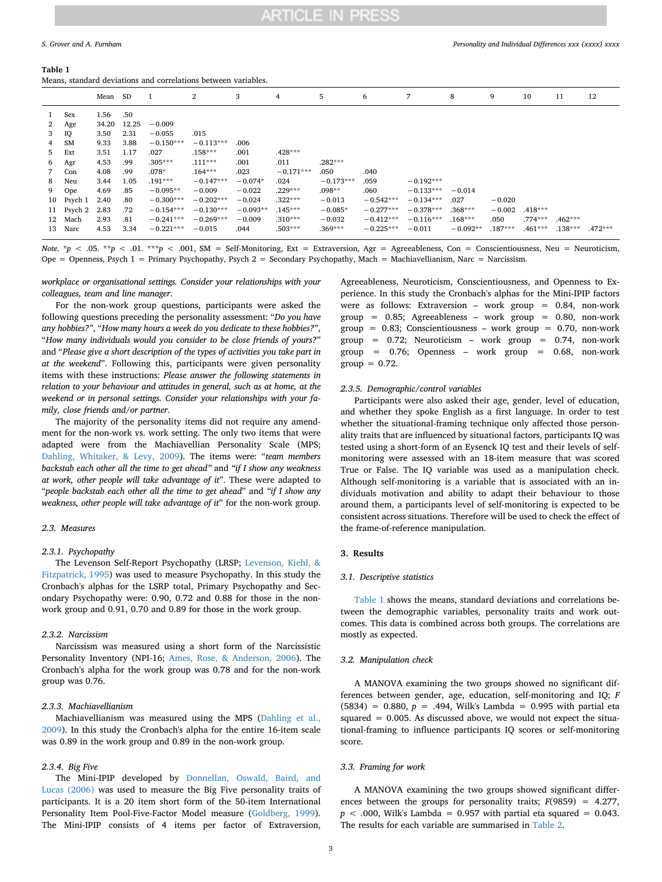#### <span id="page-2-0"></span>**Table 1**

Means, standard deviations and correlations between variables.

|              |           | Mean SD |       |             | 2           | 3          | 4           | 5           | 6           | 7           | 8          | 9         | 10        | 11        | 12        |
|--------------|-----------|---------|-------|-------------|-------------|------------|-------------|-------------|-------------|-------------|------------|-----------|-----------|-----------|-----------|
|              | Sex       | 1.56    | .50   |             |             |            |             |             |             |             |            |           |           |           |           |
| $\mathbf{2}$ | Age       | 34.20   | 12.25 | $-0.009$    |             |            |             |             |             |             |            |           |           |           |           |
| 3            | IQ        | 3.50    | 2.31  | $-0.055$    | .015        |            |             |             |             |             |            |           |           |           |           |
| 4            | <b>SM</b> | 9.33    | 3.88  | $-0.150***$ | $-0.113***$ | .006       |             |             |             |             |            |           |           |           |           |
| 5            | Ext       | 3.51    | 1.17  | .027        | $.158***$   | .001       | $.428***$   |             |             |             |            |           |           |           |           |
| 6            | Agr       | 4.53    | .99   | $.305***$   | $.111***$   | .001       | .011        | $.282***$   |             |             |            |           |           |           |           |
| 7            | Con       | 4.08    | .99   | $.078*$     | $.164***$   | .023       | $-0.171***$ | .050        | .040        |             |            |           |           |           |           |
| 8            | Neu       | 3.44    | 1.05  | $.191***$   | $-0.147***$ | $-0.074*$  | .024        | $-0.173***$ | .059        | $-0.192***$ |            |           |           |           |           |
| 9            | Ope       | 4.69    | .85   | $-0.095**$  | $-0.009$    | $-0.022$   | $.229***$   | $.098**$    | .060        | $-0.133***$ | $-0.014$   |           |           |           |           |
| 10           | Psych 1   | 2.40    | .80   | $-0.300***$ | $-0.202***$ | $-0.024$   | $.322***$   | $-0.013$    | $-0.542***$ | $-0.134***$ | .027       | $-0.020$  |           |           |           |
| 11           | Psych 2   | 2.83    | .72   | $-0.154***$ | $-0.130***$ | $-0.093**$ | $.145***$   | $-0.085*$   | $-0.277***$ | $-0.378***$ | $.368***$  | $-0.002$  | $.418***$ |           |           |
| 12           | Mach      | 2.93    | .81   | $-0.241***$ | $-0.269***$ | $-0.009$   | $.310***$   | $-0.032$    | $-0.412***$ | $-0.116***$ | $.168***$  | .050      | $.774***$ | $.462***$ |           |
| 13           | Narc      | 4.53    | 3.34  | $-0.221***$ | $-0.015$    | .044       | $.503***$   | $.369***$   | $-0.225***$ | $-0.011$    | $-0.092**$ | $.187***$ | $.461***$ | $.138***$ | $.472***$ |

*Note.* \**p* < .05. \*\**p* < .01. \*\*\**p* < .001, SM = Self-Monitoring, Ext = Extraversion, Agr = Agreeableness, Con = Conscientiousness, Neu = Neuroticism, Ope = Openness, Psych  $1 =$  Primary Psychopathy, Psych  $2 =$  Secondary Psychopathy, Mach = Machiavellianism, Narc = Narcissism.

*workplace or organisational settings. Consider your relationships with your colleagues, team and line manager*.

For the non-work group questions, participants were asked the following questions preceding the personality assessment: "*Do you have any hobbies?*", "*How many hours a week do you dedicate to these hobbies?*", "*How many individuals would you consider to be close friends of yours?*" and "*Please give a short description of the types of activities you take part in at the weekend*". Following this, participants were given personality items with these instructions: *Please answer the following statements in relation to your behaviour and attitudes in general, such as at home, at the weekend or in personal settings. Consider your relationships with your family, close friends and/or partner*.

The majority of the personality items did not require any amendment for the non-work vs. work setting. The only two items that were adapted were from the Machiavellian Personality Scale (MPS; [Dahling, Whitaker, & Levy, 2009\)](#page-5-13). The items were: "*team members backstab each other all the time to get ahead"* and *"if I show any weakness at work, other people will take advantage of it*". These were adapted to "*people backstab each other all the time to get ahead*" and *"if I show any weakness, other people will take advantage of it*" for the non-work group.

#### *2.3. Measures*

#### *2.3.1. Psychopathy*

The Levenson Self-Report Psychopathy (LRSP; [Levenson, Kiehl, &](#page-5-14) [Fitzpatrick, 1995](#page-5-14)) was used to measure Psychopathy. In this study the Cronbach's alphas for the LSRP total, Primary Psychopathy and Secondary Psychopathy were: 0.90, 0.72 and 0.88 for those in the nonwork group and 0.91, 0.70 and 0.89 for those in the work group.

#### *2.3.2. Narcissism*

Narcissism was measured using a short form of the Narcissistic Personality Inventory (NPI-16; [Ames, Rose, & Anderson, 2006](#page-5-15)). The Cronbach's alpha for the work group was 0.78 and for the non-work group was 0.76.

#### *2.3.3. Machiavellianism*

Machiavellianism was measured using the MPS ([Dahling et al.,](#page-5-13) [2009\)](#page-5-13). In this study the Cronbach's alpha for the entire 16-item scale was 0.89 in the work group and 0.89 in the non-work group.

#### *2.3.4. Big Five*

The Mini-IPIP developed by [Donnellan, Oswald, Baird, and](#page-5-16) [Lucas \(2006\)](#page-5-16) was used to measure the Big Five personality traits of participants. It is a 20 item short form of the 50-item International Personality Item Pool-Five-Factor Model measure ([Goldberg, 1999](#page-5-17)). The Mini-IPIP consists of 4 items per factor of Extraversion,

Agreeableness, Neuroticism, Conscientiousness, and Openness to Experience. In this study the Cronbach's alphas for the Mini-IPIP factors were as follows: Extraversion – work group = 0.84, non-work group =  $0.85$ ; Agreeableness – work group =  $0.80$ , non-work group =  $0.83$ ; Conscientiousness – work group =  $0.70$ , non-work group = 0.72; Neuroticism – work group = 0.74, non-work group =  $0.76$ ; Openness – work group =  $0.68$ , non-work  $group = 0.72$ .

#### *2.3.5. Demographic/control variables*

Participants were also asked their age, gender, level of education, and whether they spoke English as a first language. In order to test whether the situational-framing technique only affected those personality traits that are influenced by situational factors, participants IQ was tested using a short-form of an Eysenck IQ test and their levels of selfmonitoring were assessed with an 18-item measure that was scored True or False. The IQ variable was used as a manipulation check. Although self-monitoring is a variable that is associated with an individuals motivation and ability to adapt their behaviour to those around them, a participants level of self-monitoring is expected to be consistent across situations. Therefore will be used to check the effect of the frame-of-reference manipulation.

#### **3. Results**

#### *3.1. Descriptive statistics*

[Table 1](#page-2-0) shows the means, standard deviations and correlations between the demographic variables, personality traits and work outcomes. This data is combined across both groups. The correlations are mostly as expected.

#### *3.2. Manipulation check*

A MANOVA examining the two groups showed no significant differences between gender, age, education, self-monitoring and IQ; *F* (5834) = 0.880,  $p = .494$ , Wilk's Lambda = 0.995 with partial eta squared = 0.005. As discussed above, we would not expect the situational-framing to influence participants IQ scores or self-monitoring score.

#### *3.3. Framing for work*

A MANOVA examining the two groups showed significant differences between the groups for personality traits; *F*(9859) = 4.277,  $p < .000$ , Wilk's Lambda = 0.957 with partial eta squared = 0.043. The results for each variable are summarised in [Table 2](#page-3-0).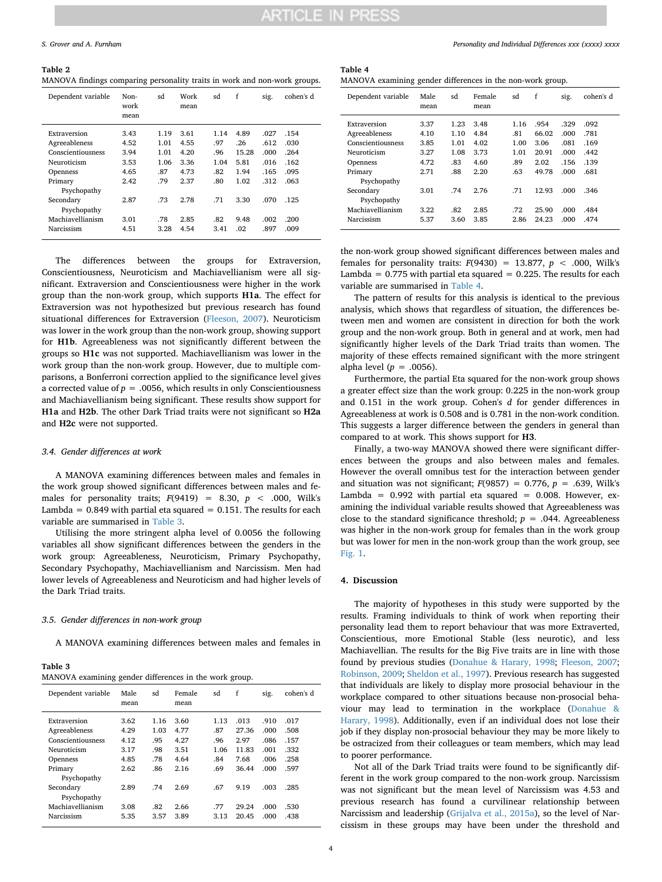<span id="page-3-0"></span>**Table 2** MANOVA findings comparing personality traits in work and non-work groups.

| Dependent variable       | Non-<br>work<br>mean | sd   | Work<br>mean | sd   | f     | sig.  | cohen's d |
|--------------------------|----------------------|------|--------------|------|-------|-------|-----------|
| Extraversion             | 3.43                 | 1.19 | 3.61         | 1.14 | 4.89  | .027  | .154      |
| Agreeableness            | 4.52                 | 1.01 | 4.55         | .97  | .26   | .612  | .030      |
| Conscientiousness        | 3.94                 | 1.01 | 4.20         | .96  | 15.28 | .000. | .264      |
| Neuroticism              | 3.53                 | 1.06 | 3.36         | 1.04 | 5.81  | .016  | .162      |
| <b>Openness</b>          | 4.65                 | .87  | 4.73         | .82  | 1.94  | .165  | .095      |
| Primary<br>Psychopathy   | 2.42                 | .79  | 2.37         | .80  | 1.02  | .312  | .063      |
| Secondary<br>Psychopathy | 2.87                 | .73  | 2.78         | .71  | 3.30  | .070  | .125      |
| Machiavellianism         | 3.01                 | .78  | 2.85         | .82  | 9.48  | .002  | .200      |
| Narcissism               | 4.51                 | 3.28 | 4.54         | 3.41 | .02   | .897  | .009      |

The differences between the groups for Extraversion, Conscientiousness, Neuroticism and Machiavellianism were all significant. Extraversion and Conscientiousness were higher in the work group than the non-work group, which supports **H1a**. The effect for Extraversion was not hypothesized but previous research has found situational differences for Extraversion [\(Fleeson, 2007\)](#page-5-1). Neuroticism was lower in the work group than the non-work group, showing support for **H1b**. Agreeableness was not significantly different between the groups so **H1c** was not supported. Machiavellianism was lower in the work group than the non-work group. However, due to multiple comparisons, a Bonferroni correction applied to the significance level gives a corrected value of  $p = .0056$ , which results in only Conscientiousness and Machiavellianism being significant. These results show support for **H1a** and **H2b**. The other Dark Triad traits were not significant so **H2a** and **H2c** were not supported.

#### *3.4. Gender differences at work*

A MANOVA examining differences between males and females in the work group showed significant differences between males and females for personality traits;  $F(9419) = 8.30, p < .000$ , Wilk's Lambda =  $0.849$  with partial eta squared =  $0.151$ . The results for each variable are summarised in [Table 3.](#page-3-1)

Utilising the more stringent alpha level of 0.0056 the following variables all show significant differences between the genders in the work group: Agreeableness, Neuroticism, Primary Psychopathy, Secondary Psychopathy, Machiavellianism and Narcissism. Men had lower levels of Agreeableness and Neuroticism and had higher levels of the Dark Triad traits.

#### *3.5. Gender differences in non-work group*

A MANOVA examining differences between males and females in

<span id="page-3-1"></span>**Table 3**

| MANOVA examining gender differences in the work group. |              |      |                |      |       |      |           |  |  |  |
|--------------------------------------------------------|--------------|------|----------------|------|-------|------|-----------|--|--|--|
| Dependent variable                                     | Male<br>mean | sd   | Female<br>mean | sd   | f     | sig. | cohen's d |  |  |  |
| Extraversion                                           | 3.62         | 1.16 | 3.60           | 1.13 | .013  | .910 | .017      |  |  |  |
| Agreeableness                                          | 4.29         | 1.03 | 4.77           | .87  | 27.36 | .000 | .508      |  |  |  |
| Conscientiousness                                      | 4.12         | .95  | 4.27           | .96  | 2.97  | .086 | .157      |  |  |  |
| Neuroticism                                            | 3.17         | .98  | 3.51           | 1.06 | 11.83 | .001 | .332      |  |  |  |
| <b>Openness</b>                                        | 4.85         | .78  | 4.64           | .84  | 7.68  | .006 | .258      |  |  |  |
| Primary<br>Psychopathy                                 | 2.62         | .86  | 2.16           | .69  | 36.44 | .000 | .597      |  |  |  |
| Secondary<br>Psychopathy                               | 2.89         | .74  | 2.69           | .67  | 9.19  | .003 | .285      |  |  |  |
| Machiavellianism                                       | 3.08         | .82  | 2.66           | .77  | 29.24 | .000 | .530      |  |  |  |
| Narcissism                                             | 5.35         | 3.57 | 3.89           | 3.13 | 20.45 | .000 | .438      |  |  |  |

<span id="page-3-2"></span>**Table 4** MANOVA examining gender differences in the non-work group.

| Dependent variable       | Male<br>mean | sd   | Female<br>mean | sd   | f     | sig. | cohen's d |
|--------------------------|--------------|------|----------------|------|-------|------|-----------|
| Extraversion             | 3.37         | 1.23 | 3.48           | 1.16 | .954  | .329 | .092      |
| Agreeableness            | 4.10         | 1.10 | 4.84           | .81  | 66.02 | .000 | .781      |
| Conscientiousness        | 3.85         | 1.01 | 4.02           | 1.00 | 3.06  | .081 | .169      |
| Neuroticism              | 3.27         | 1.08 | 3.73           | 1.01 | 20.91 | .000 | .442      |
| <b>Openness</b>          | 4.72         | .83  | 4.60           | .89  | 2.02  | .156 | .139      |
| Primary                  | 2.71         | .88  | 2.20           | .63  | 49.78 | .000 | .681      |
| Psychopathy              |              |      |                |      |       |      |           |
| Secondary<br>Psychopathy | 3.01         | .74  | 2.76           | .71  | 12.93 | .000 | .346      |
| Machiavellianism         | 3.22         | .82  | 2.85           | .72  | 25.90 | .000 | .484      |
| Narcissism               | 5.37         | 3.60 | 3.85           | 2.86 | 24.23 | .000 | .474      |

the non-work group showed significant differences between males and females for personality traits:  $F(9430) = 13.877$ ,  $p < .000$ , Wilk's Lambda =  $0.775$  with partial eta squared =  $0.225$ . The results for each variable are summarised in [Table 4.](#page-3-2)

The pattern of results for this analysis is identical to the previous analysis, which shows that regardless of situation, the differences between men and women are consistent in direction for both the work group and the non-work group. Both in general and at work, men had significantly higher levels of the Dark Triad traits than women. The majority of these effects remained significant with the more stringent alpha level ( $p = .0056$ ).

Furthermore, the partial Eta squared for the non-work group shows a greater effect size than the work group: 0.225 in the non-work group and 0.151 in the work group. Cohen's *d* for gender differences in Agreeableness at work is 0.508 and is 0.781 in the non-work condition. This suggests a larger difference between the genders in general than compared to at work. This shows support for **H3**.

Finally, a two-way MANOVA showed there were significant differences between the groups and also between males and females. However the overall omnibus test for the interaction between gender and situation was not significant;  $F(9857) = 0.776$ ,  $p = .639$ , Wilk's Lambda =  $0.992$  with partial eta squared = 0.008. However, examining the individual variable results showed that Agreeableness was close to the standard significance threshold;  $p = .044$ . Agreeableness was higher in the non-work group for females than in the work group but was lower for men in the non-work group than the work group, see [Fig. 1.](#page-4-0)

#### **4. Discussion**

The majority of hypotheses in this study were supported by the results. Framing individuals to think of work when reporting their personality lead them to report behaviour that was more Extraverted, Conscientious, more Emotional Stable (less neurotic), and less Machiavellian. The results for the Big Five traits are in line with those found by previous studies [\(Donahue & Harary, 1998;](#page-5-6) [Fleeson, 2007](#page-5-1); [Robinson, 2009;](#page-5-7) [Sheldon et al., 1997](#page-5-8)). Previous research has suggested that individuals are likely to display more prosocial behaviour in the workplace compared to other situations because non-prosocial behaviour may lead to termination in the workplace [\(Donahue &](#page-5-6) [Harary, 1998](#page-5-6)). Additionally, even if an individual does not lose their job if they display non-prosocial behaviour they may be more likely to be ostracized from their colleagues or team members, which may lead to poorer performance.

Not all of the Dark Triad traits were found to be significantly different in the work group compared to the non-work group. Narcissism was not significant but the mean level of Narcissism was 4.53 and previous research has found a curvilinear relationship between Narcissism and leadership [\(Grijalva et al., 2015a\)](#page-5-18), so the level of Narcissism in these groups may have been under the threshold and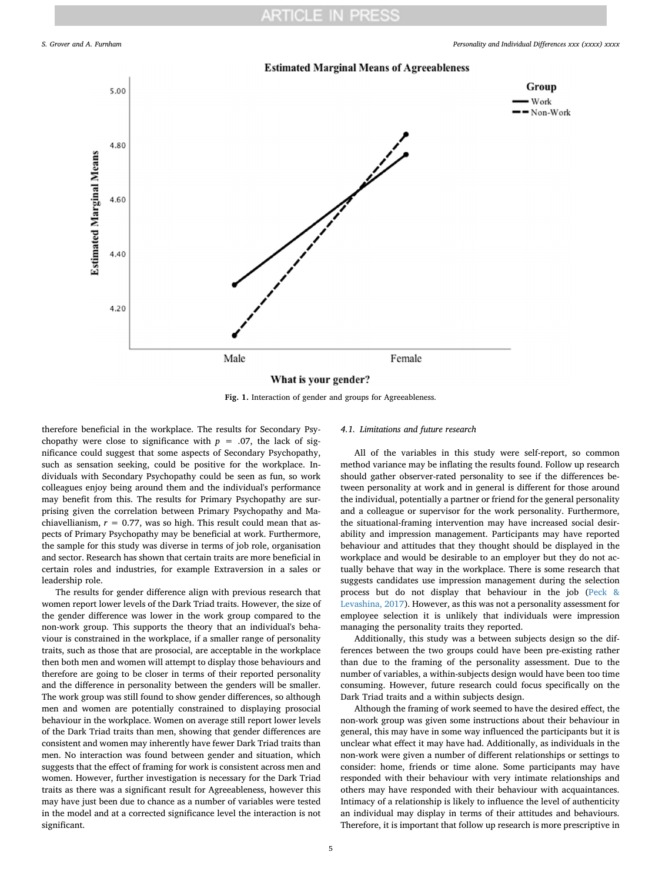## **ARTICLE IN PRESS**

<span id="page-4-0"></span>

**Fig. 1.** Interaction of gender and groups for Agreeableness.

therefore beneficial in the workplace. The results for Secondary Psychopathy were close to significance with  $p = .07$ , the lack of significance could suggest that some aspects of Secondary Psychopathy, such as sensation seeking, could be positive for the workplace. Individuals with Secondary Psychopathy could be seen as fun, so work colleagues enjoy being around them and the individual's performance may benefit from this. The results for Primary Psychopathy are surprising given the correlation between Primary Psychopathy and Machiavellianism,  $r = 0.77$ , was so high. This result could mean that aspects of Primary Psychopathy may be beneficial at work. Furthermore, the sample for this study was diverse in terms of job role, organisation and sector. Research has shown that certain traits are more beneficial in certain roles and industries, for example Extraversion in a sales or leadership role.

The results for gender difference align with previous research that women report lower levels of the Dark Triad traits. However, the size of the gender difference was lower in the work group compared to the non-work group. This supports the theory that an individual's behaviour is constrained in the workplace, if a smaller range of personality traits, such as those that are prosocial, are acceptable in the workplace then both men and women will attempt to display those behaviours and therefore are going to be closer in terms of their reported personality and the difference in personality between the genders will be smaller. The work group was still found to show gender differences, so although men and women are potentially constrained to displaying prosocial behaviour in the workplace. Women on average still report lower levels of the Dark Triad traits than men, showing that gender differences are consistent and women may inherently have fewer Dark Triad traits than men. No interaction was found between gender and situation, which suggests that the effect of framing for work is consistent across men and women. However, further investigation is necessary for the Dark Triad traits as there was a significant result for Agreeableness, however this may have just been due to chance as a number of variables were tested in the model and at a corrected significance level the interaction is not significant.

### *4.1. Limitations and future research*

All of the variables in this study were self-report, so common method variance may be inflating the results found. Follow up research should gather observer-rated personality to see if the differences between personality at work and in general is different for those around the individual, potentially a partner or friend for the general personality and a colleague or supervisor for the work personality. Furthermore, the situational-framing intervention may have increased social desirability and impression management. Participants may have reported behaviour and attitudes that they thought should be displayed in the workplace and would be desirable to an employer but they do not actually behave that way in the workplace. There is some research that suggests candidates use impression management during the selection process but do not display that behaviour in the job ([Peck &](#page-5-19) [Levashina, 2017\)](#page-5-19). However, as this was not a personality assessment for employee selection it is unlikely that individuals were impression managing the personality traits they reported.

Additionally, this study was a between subjects design so the differences between the two groups could have been pre-existing rather than due to the framing of the personality assessment. Due to the number of variables, a within-subjects design would have been too time consuming. However, future research could focus specifically on the Dark Triad traits and a within subjects design.

Although the framing of work seemed to have the desired effect, the non-work group was given some instructions about their behaviour in general, this may have in some way influenced the participants but it is unclear what effect it may have had. Additionally, as individuals in the non-work were given a number of different relationships or settings to consider: home, friends or time alone. Some participants may have responded with their behaviour with very intimate relationships and others may have responded with their behaviour with acquaintances. Intimacy of a relationship is likely to influence the level of authenticity an individual may display in terms of their attitudes and behaviours. Therefore, it is important that follow up research is more prescriptive in